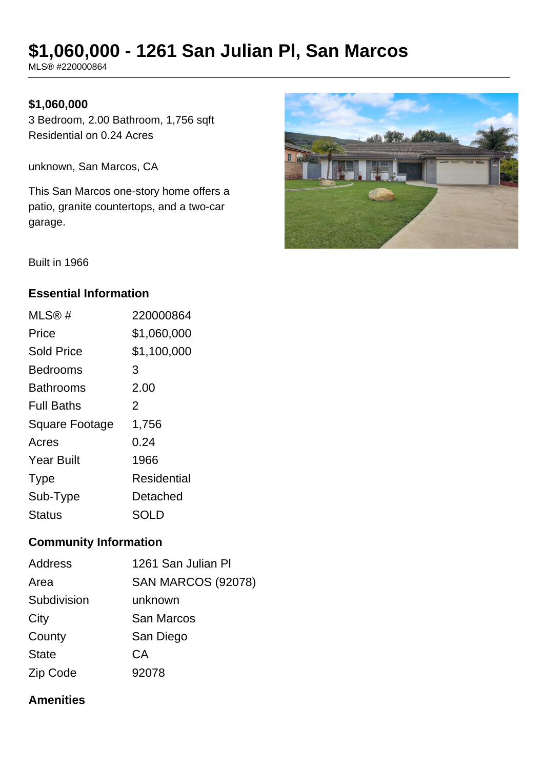# **\$1,060,000 - 1261 San Julian Pl, San Marcos**

MLS® #220000864

#### **\$1,060,000**

3 Bedroom, 2.00 Bathroom, 1,756 sqft Residential on 0.24 Acres

unknown, San Marcos, CA

This San Marcos one-story home offers a patio, granite countertops, and a two-car garage.



Built in 1966

#### **Essential Information**

| MLS@#                 | 220000864   |
|-----------------------|-------------|
| Price                 | \$1,060,000 |
| <b>Sold Price</b>     | \$1,100,000 |
| <b>Bedrooms</b>       | 3           |
| <b>Bathrooms</b>      | 2.00        |
| <b>Full Baths</b>     | 2           |
| <b>Square Footage</b> | 1,756       |
| Acres                 | 0.24        |
| <b>Year Built</b>     | 1966        |
| <b>Type</b>           | Residential |
| Sub-Type              | Detached    |
| <b>Status</b>         | SOLD        |

#### **Community Information**

| <b>Address</b> | 1261 San Julian Pl        |
|----------------|---------------------------|
| Area           | <b>SAN MARCOS (92078)</b> |
| Subdivision    | unknown                   |
| City           | <b>San Marcos</b>         |
| County         | San Diego                 |
| <b>State</b>   | <b>CA</b>                 |
| Zip Code       | 92078                     |

#### **Amenities**